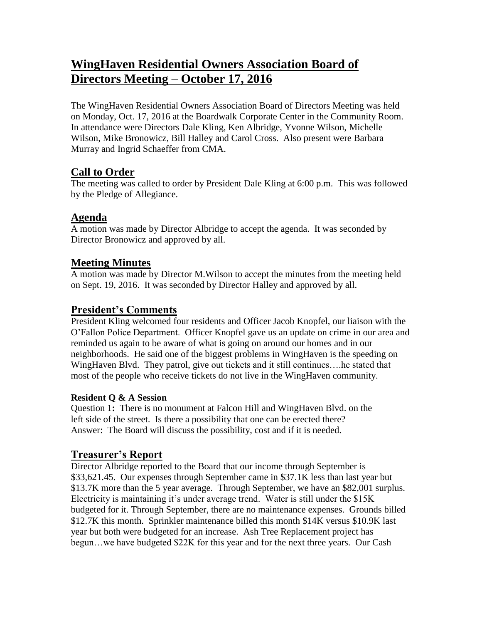# **WingHaven Residential Owners Association Board of Directors Meeting – October 17, 2016**

The WingHaven Residential Owners Association Board of Directors Meeting was held on Monday, Oct. 17, 2016 at the Boardwalk Corporate Center in the Community Room. In attendance were Directors Dale Kling, Ken Albridge, Yvonne Wilson, Michelle Wilson, Mike Bronowicz, Bill Halley and Carol Cross. Also present were Barbara Murray and Ingrid Schaeffer from CMA.

### **Call to Order**

The meeting was called to order by President Dale Kling at 6:00 p.m. This was followed by the Pledge of Allegiance.

## **Agenda**

A motion was made by Director Albridge to accept the agenda. It was seconded by Director Bronowicz and approved by all.

### **Meeting Minutes**

A motion was made by Director M.Wilson to accept the minutes from the meeting held on Sept. 19, 2016. It was seconded by Director Halley and approved by all.

## **President's Comments**

President Kling welcomed four residents and Officer Jacob Knopfel, our liaison with the O'Fallon Police Department. Officer Knopfel gave us an update on crime in our area and reminded us again to be aware of what is going on around our homes and in our neighborhoods. He said one of the biggest problems in WingHaven is the speeding on WingHaven Blvd. They patrol, give out tickets and it still continues….he stated that most of the people who receive tickets do not live in the WingHaven community.

#### **Resident Q & A Session**

Question 1**:** There is no monument at Falcon Hill and WingHaven Blvd. on the left side of the street. Is there a possibility that one can be erected there? Answer:The Board will discuss the possibility, cost and if it is needed.

## **Treasurer's Report**

Director Albridge reported to the Board that our income through September is \$33,621.45. Our expenses through September came in \$37.1K less than last year but \$13.7K more than the 5 year average. Through September, we have an \$82,001 surplus. Electricity is maintaining it's under average trend. Water is still under the \$15K budgeted for it. Through September, there are no maintenance expenses. Grounds billed \$12.7K this month. Sprinkler maintenance billed this month \$14K versus \$10.9K last year but both were budgeted for an increase. Ash Tree Replacement project has begun…we have budgeted \$22K for this year and for the next three years. Our Cash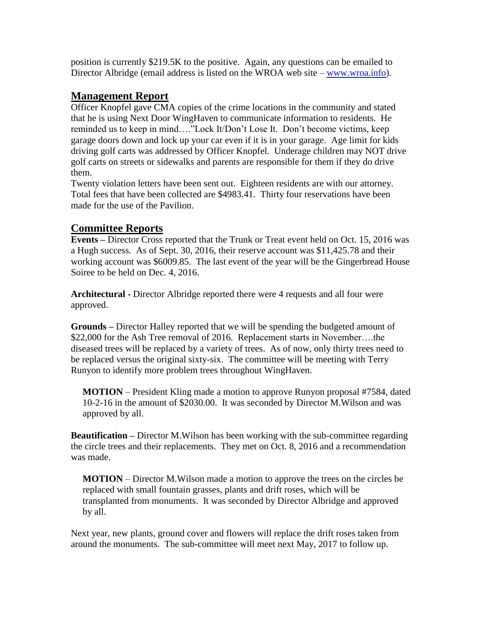position is currently \$219.5K to the positive. Again, any questions can be emailed to Director Albridge (email address is listed on the WROA web site – [www.wroa.info\)](http://www.wroa.info/).

### **Management Report**

Officer Knopfel gave CMA copies of the crime locations in the community and stated that he is using Next Door WingHaven to communicate information to residents. He reminded us to keep in mind…."Lock It/Don't Lose It. Don't become victims, keep garage doors down and lock up your car even if it is in your garage. Age limit for kids driving golf carts was addressed by Officer Knopfel. Underage children may NOT drive golf carts on streets or sidewalks and parents are responsible for them if they do drive them.

Twenty violation letters have been sent out. Eighteen residents are with our attorney. Total fees that have been collected are \$4983.41. Thirty four reservations have been made for the use of the Pavilion.

#### **Committee Reports**

**Events –** Director Cross reported that the Trunk or Treat event held on Oct. 15, 2016 was a Hugh success. As of Sept. 30, 2016, their reserve account was \$11,425.78 and their working account was \$6009.85. The last event of the year will be the Gingerbread House Soiree to be held on Dec. 4, 2016.

**Architectural -** Director Albridge reported there were 4 requests and all four were approved.

**Grounds –** Director Halley reported that we will be spending the budgeted amount of \$22,000 for the Ash Tree removal of 2016. Replacement starts in November….the diseased trees will be replaced by a variety of trees. As of now, only thirty trees need to be replaced versus the original sixty-six. The committee will be meeting with Terry Runyon to identify more problem trees throughout WingHaven.

 **MOTION** – President Kling made a motion to approve Runyon proposal #7584, dated 10-2-16 in the amount of \$2030.00. It was seconded by Director M.Wilson and was approved by all.

**Beautification** – Director M. Wilson has been working with the sub-committee regarding the circle trees and their replacements. They met on Oct. 8, 2016 and a recommendation was made.

 **MOTION** – Director M.Wilson made a motion to approve the trees on the circles be replaced with small fountain grasses, plants and drift roses, which will be transplanted from monuments. It was seconded by Director Albridge and approved by all.

Next year, new plants, ground cover and flowers will replace the drift roses taken from around the monuments. The sub-committee will meet next May, 2017 to follow up.